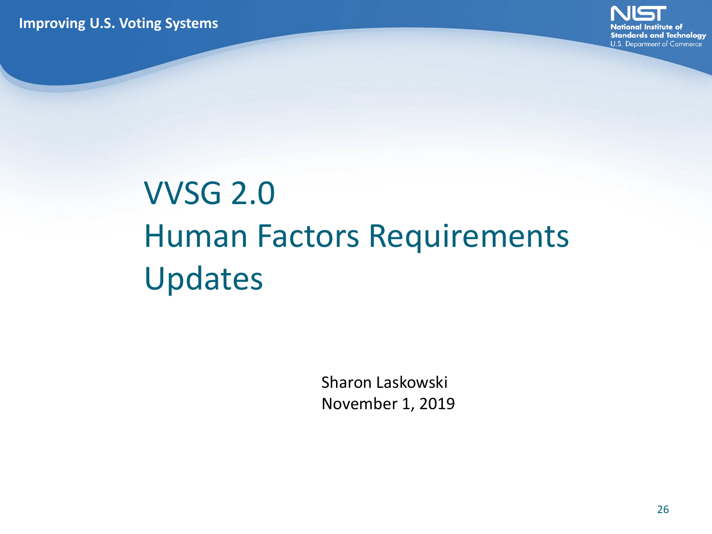**Improving U.S. Voting Systems**



# VVSG 2.0 Human Factors Requirements Updates

Sharon Laskowski November 1, 2019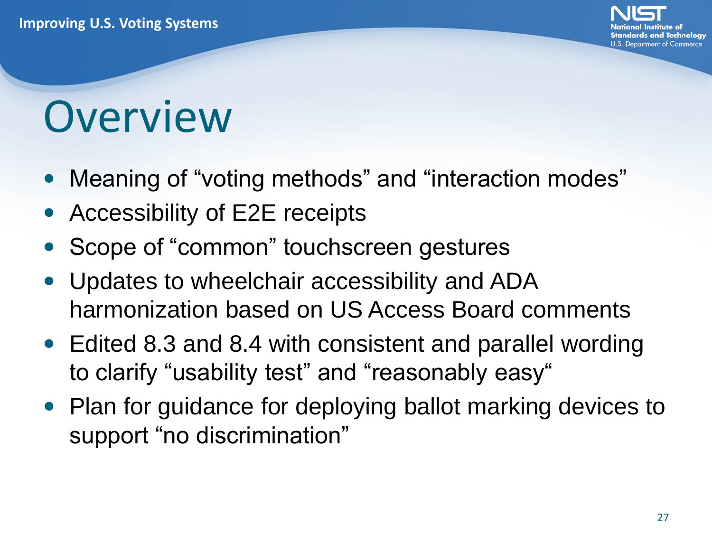

# **Overview**

- Meaning of "voting methods" and "interaction modes"
- Accessibility of E2E receipts
- Scope of "common" touchscreen gestures
- Updates to wheelchair accessibility and ADA harmonization based on US Access Board comments
- Edited 8.3 and 8.4 with consistent and parallel wording to clarify "usability test" and "reasonably easy"
- Plan for guidance for deploying ballot marking devices to support "no discrimination"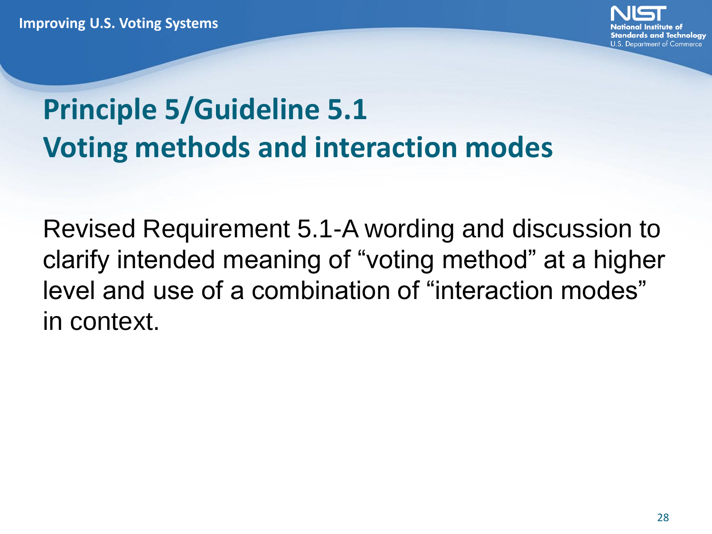

### **Principle 5/Guideline 5.1 Voting methods and interaction modes**

Revised Requirement 5.1-A wording and discussion to clarify intended meaning of "voting method" at a higher level and use of a combination of "interaction modes" in context.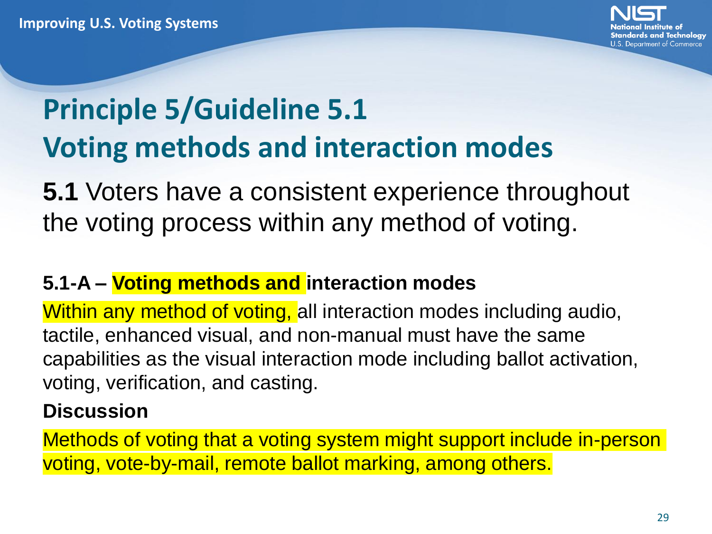

### **Principle 5/Guideline 5.1 Voting methods and interaction modes**

**5.1** Voters have a consistent experience throughout the voting process within any method of voting.

#### **5.1-A – Voting methods and interaction modes**

Within any method of voting, all interaction modes including audio, tactile, enhanced visual, and non-manual must have the same capabilities as the visual interaction mode including ballot activation, voting, verification, and casting.

#### **Discussion**

Methods of voting that a voting system might support include in-person voting, vote-by-mail, remote ballot marking, among others.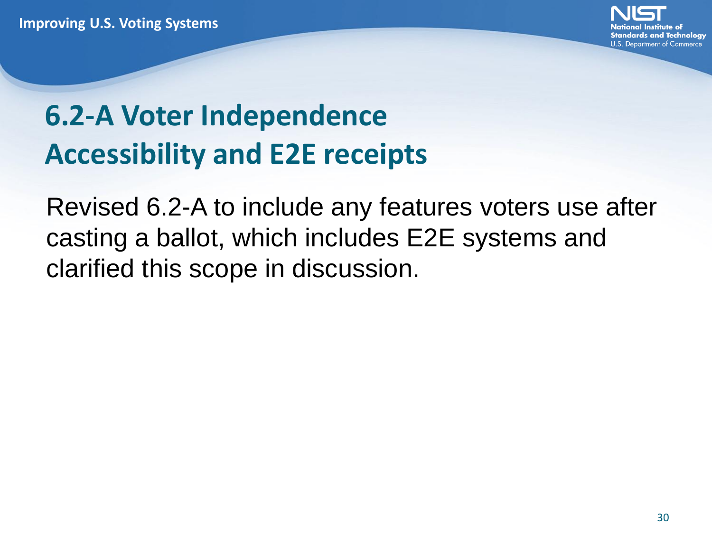

### **6.2-A Voter Independence Accessibility and E2E receipts**

Revised 6.2-A to include any features voters use after casting a ballot, which includes E2E systems and clarified this scope in discussion.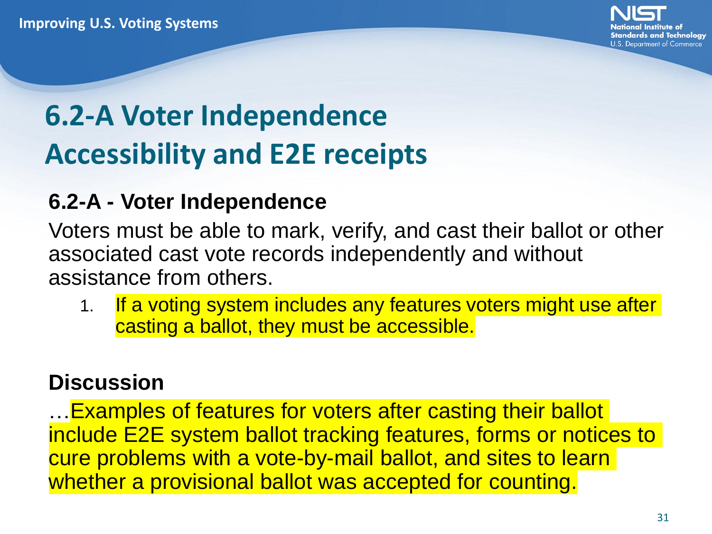

### **6.2-A Voter Independence Accessibility and E2E receipts**

#### **6.2-A - Voter Independence**

Voters must be able to mark, verify, and cast their ballot or other associated cast vote records independently and without assistance from others.

1. If a voting system includes any features voters might use after casting a ballot, they must be accessible.

#### **Discussion**

…Examples of features for voters after casting their ballot include E2E system ballot tracking features, forms or notices to cure problems with a vote-by-mail ballot, and sites to learn whether a provisional ballot was accepted for counting.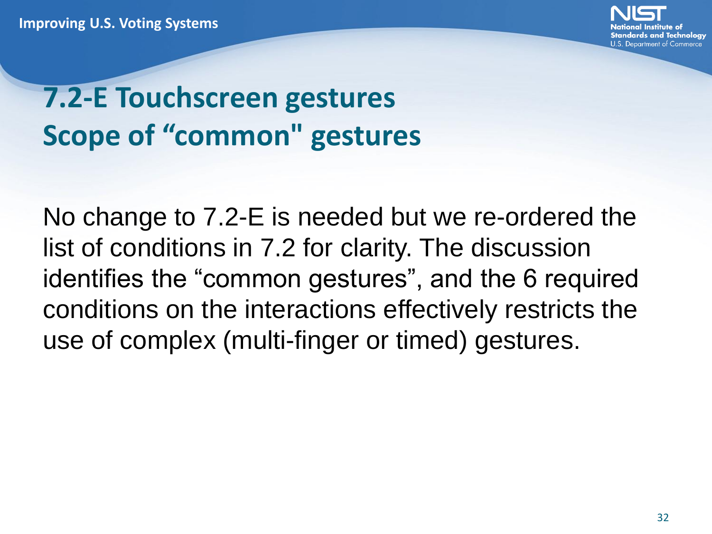

### **7.2-E Touchscreen gestures Scope of "common" gestures**

No change to 7.2-E is needed but we re-ordered the list of conditions in 7.2 for clarity. The discussion identifies the "common gestures", and the 6 required conditions on the interactions effectively restricts the use of complex (multi-finger or timed) gestures.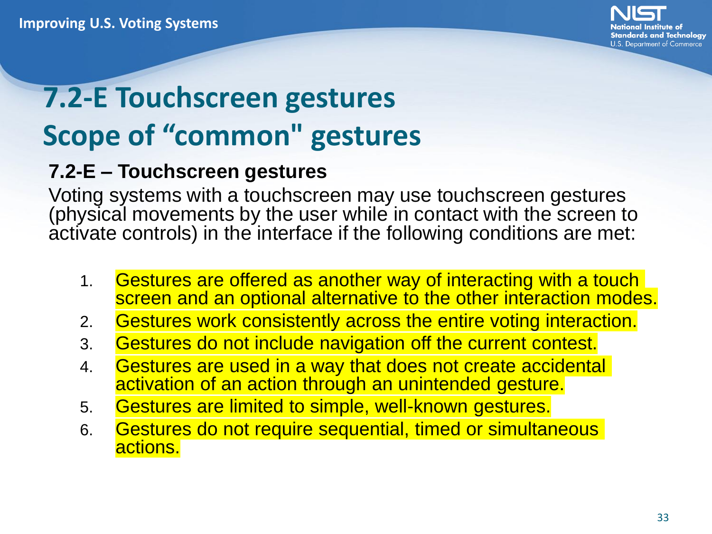

### **7.2-E Touchscreen gestures Scope of "common" gestures**

#### **7.2-E – Touchscreen gestures**

Voting systems with a touchscreen may use touchscreen gestures (physical movements by the user while in contact with the screen to activate controls) in the interface if the following conditions are met:

- 1. Gestures are offered as another way of interacting with a touch screen and an optional alternative to the other interaction modes.
- 2. Gestures work consistently across the entire voting interaction.
- 3. Gestures do not include navigation off the current contest.
- 4. Gestures are used in a way that does not create accidental activation of an action through an unintended gesture.
- 5. Gestures are limited to simple, well-known gestures.
- 6. Gestures do not require sequential, timed or simultaneous actions.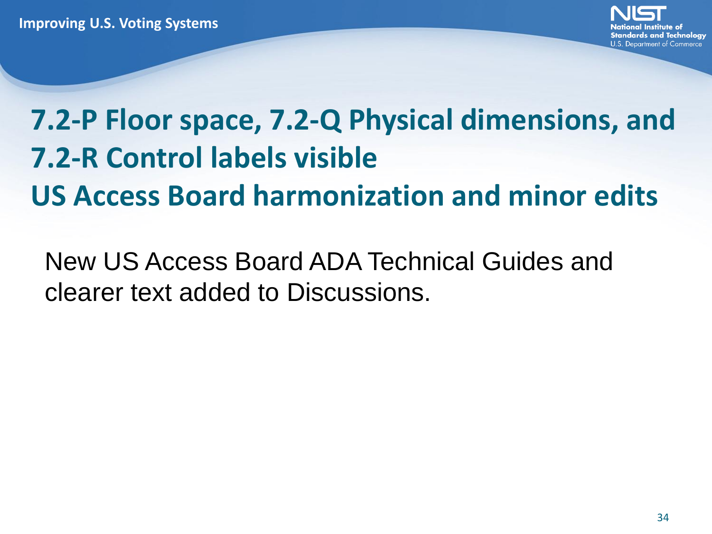**7.2-P Floor space, 7.2-Q Physical dimensions, and 7.2-R Control labels visible US Access Board harmonization and minor edits**

New US Access Board ADA Technical Guides and clearer text added to Discussions.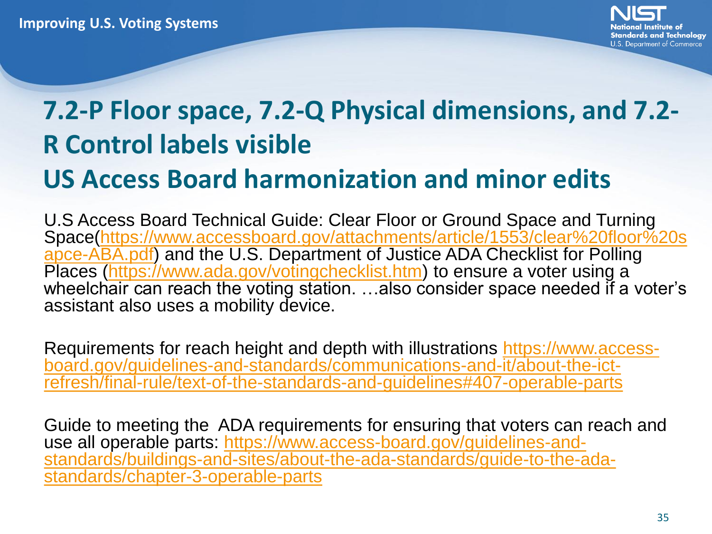

# **7.2-P Floor space, 7.2-Q Physical dimensions, and 7.2- R Control labels visible**

### **US Access Board harmonization and minor edits**

U.S Access Board Technical Guide: Clear Floor or Ground Space and Turning [Space\(https://www.accessboard.gov/attachments/article/1553/clear%20floor%20s](https://www.accessboard.gov/attachments/article/1553/clear%20floor%20sapce-ABA.pdf) apce-ABA.pdf) and the U.S. Department of Justice ADA Checklist for Polling Places [\(https://www.ada.gov/votingchecklist.htm\)](https://www.ada.gov/votingchecklist.htm) to ensure a voter using a wheelchair can reach the voting station. ...also consider space needed if a voter's assistant also uses a mobility device.

Requirements for reach height and depth with illustrations https://www.accessboard.gov/guidelines-and-standards/communications-and-it/about-the-ict[refresh/final-rule/text-of-the-standards-and-guidelines#407-operable-parts](https://www.access-board.gov/guidelines-and-standards/communications-and-it/about-the-ict-refresh/final-rule/text-of-the-standards-and-guidelines#407-operable-parts)

Guide to meeting the ADA requirements for ensuring that voters can reach and use all operable parts: https://www.access-board.gov/guidelines-and[standards/buildings-and-sites/about-the-ada-standards/guide-to-the-ada](https://www.access-board.gov/guidelines-and-standards/buildings-and-sites/about-the-ada-standards/guide-to-the-ada-standards/chapter-3-operable-parts)standards/chapter-3-operable-parts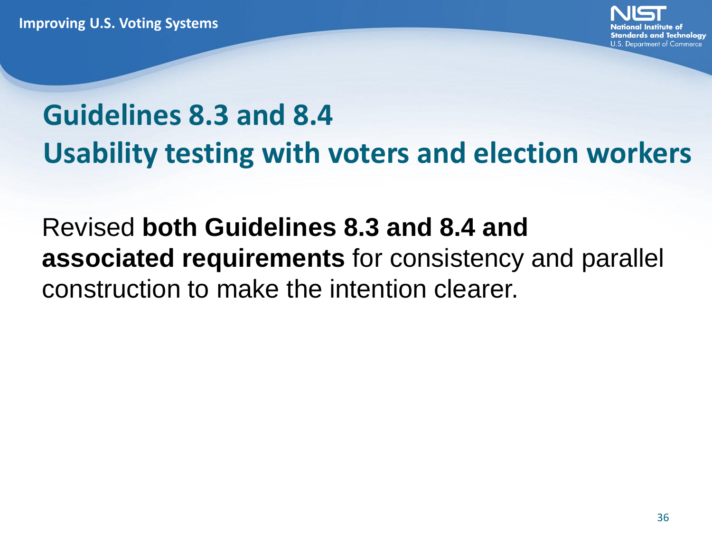

## **Guidelines 8.3 and 8.4 Usability testing with voters and election workers**

### Revised **both Guidelines 8.3 and 8.4 and associated requirements** for consistency and parallel construction to make the intention clearer.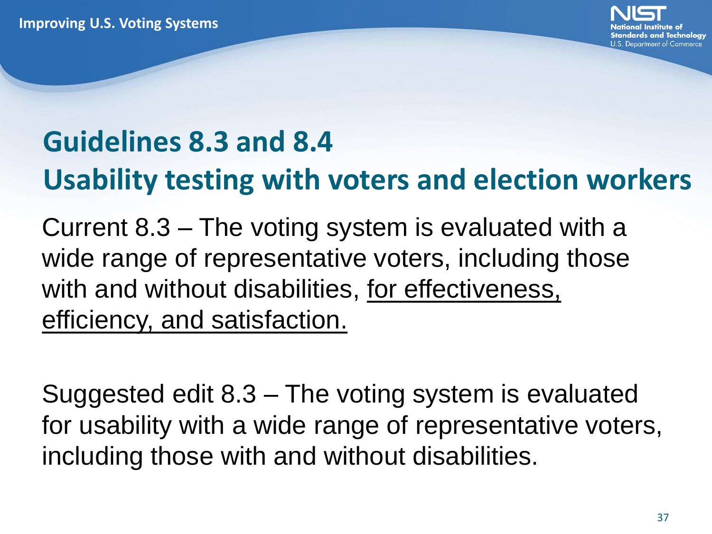

## **Guidelines 8.3 and 8.4 Usability testing with voters and election workers**

Current 8.3 – The voting system is evaluated with a wide range of representative voters, including those with and without disabilities, for effectiveness, efficiency, and satisfaction.

Suggested edit 8.3 – The voting system is evaluated for usability with a wide range of representative voters, including those with and without disabilities.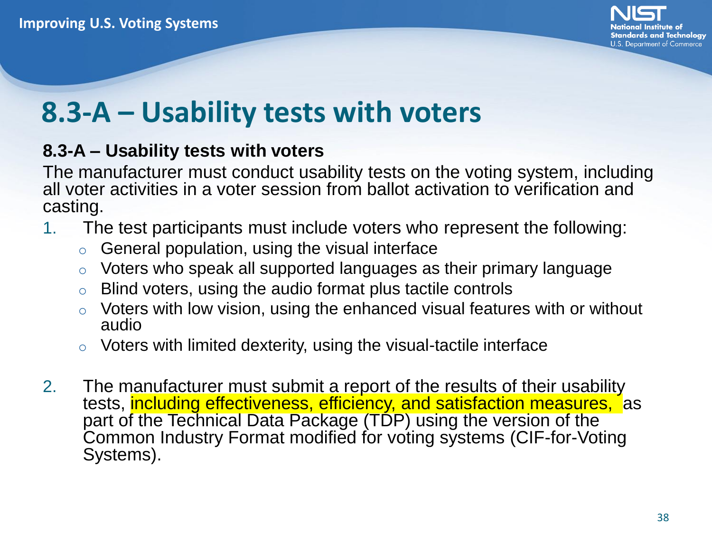

### **8.3-A – Usability tests with voters**

#### **8.3-A – Usability tests with voters**

The manufacturer must conduct usability tests on the voting system, including all voter activities in a voter session from ballot activation to verification and casting.

- 1. The test participants must include voters who represent the following:
	- $\circ$  General population, using the visual interface
	- $\circ$  Voters who speak all supported languages as their primary language
	- $\circ$  Blind voters, using the audio format plus tactile controls
	- o Voters with low vision, using the enhanced visual features with or without audio
	- $\circ$  Voters with limited dexterity, using the visual-tactile interface
- 2. The manufacturer must submit a report of the results of their usability tests, including effectiveness, efficiency, and satisfaction measures, as part of the Technical Data Package (TDP) using the version of the Common Industry Format modified for voting systems (CIF-for-Voting Systems).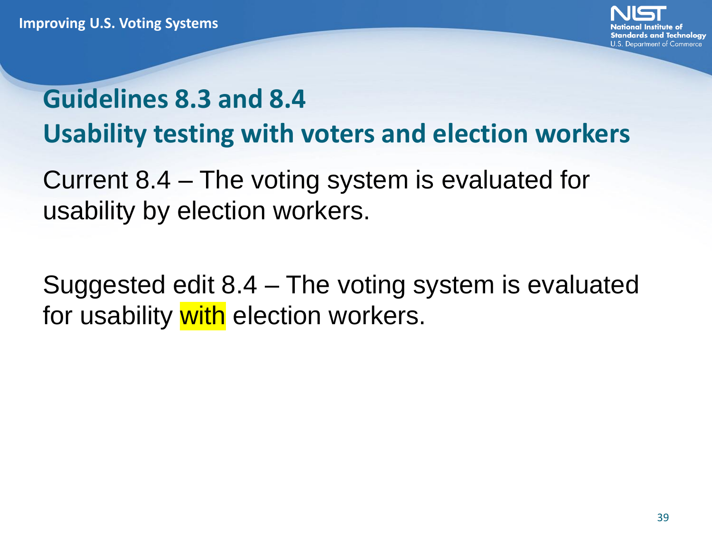

### **Guidelines 8.3 and 8.4 Usability testing with voters and election workers**

Current 8.4 – The voting system is evaluated for usability by election workers.

Suggested edit 8.4 – The voting system is evaluated for usability with election workers.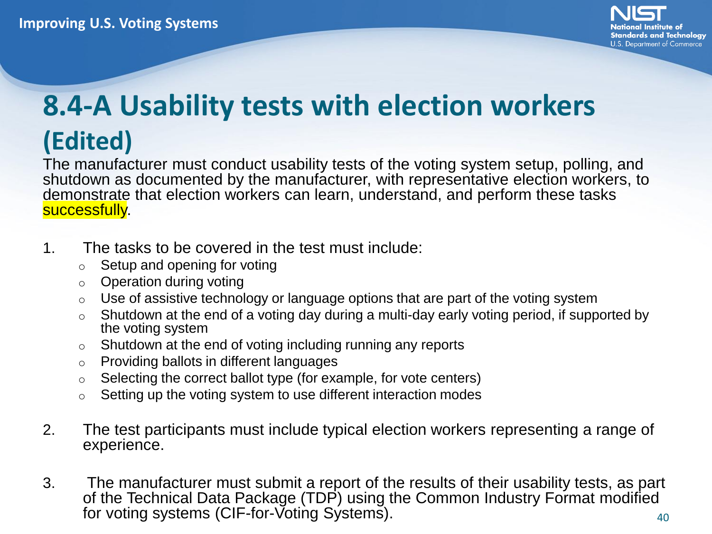

### **8.4-A Usability tests with election workers (Edited)**

The manufacturer must conduct usability tests of the voting system setup, polling, and shutdown as documented by the manufacturer, with representative election workers, to demonstrate that election workers can learn, understand, and perform these tasks successfully.

- 1. The tasks to be covered in the test must include:
	- $\circ$  Setup and opening for voting
	- $\circ$  Operation during voting
	- $\circ$  Use of assistive technology or language options that are part of the voting system
	- $\circ$  Shutdown at the end of a voting day during a multi-day early voting period, if supported by the voting system
	- $\circ$  Shutdown at the end of voting including running any reports
	- o Providing ballots in different languages
	- $\circ$  Selecting the correct ballot type (for example, for vote centers)
	- o Setting up the voting system to use different interaction modes
- 2. The test participants must include typical election workers representing a range of experience.
- 3. The manufacturer must submit a report of the results of their usability tests, as part of the Technical Data Package (TDP) using the Common Industry Format modified for voting systems (CIF-for-Voting Systems). 40